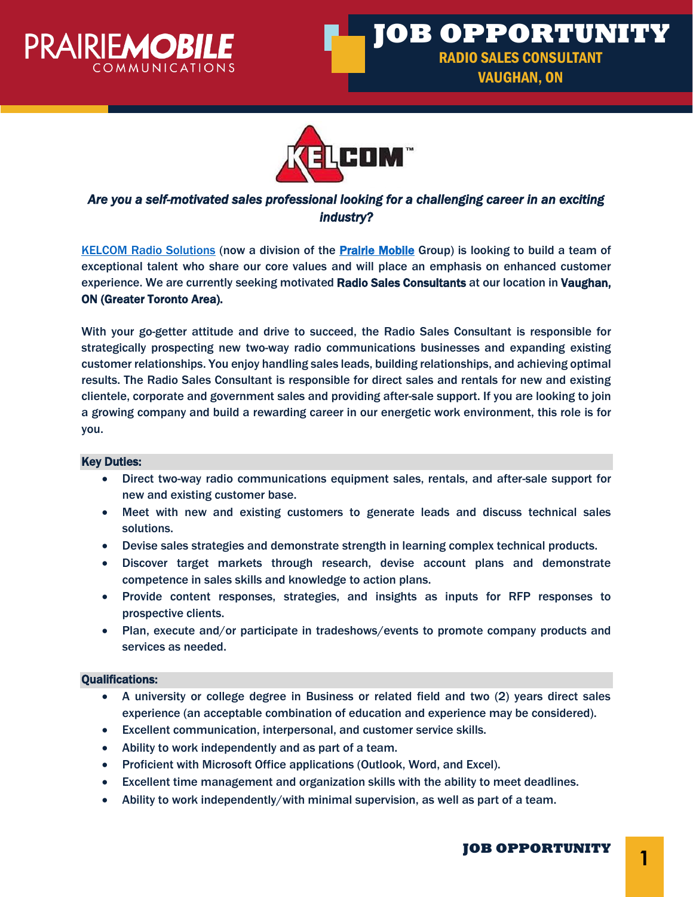





# *Are you a self-motivated sales professional looking for a challenging career in an exciting industry?*

[KELCOM Radio Solutions](https://www.kelcomradio.com/) (now a division of the [Prairie Mobile](https://www.prairiemobile.com/) Group) is looking to build a team of exceptional talent who share our core values and will place an emphasis on enhanced customer experience. We are currently seeking motivated Radio Sales Consultants at our location in Vaughan, ON (Greater Toronto Area).

With your go-getter attitude and drive to succeed, the Radio Sales Consultant is responsible for strategically prospecting new two-way radio communications businesses and expanding existing customer relationships. You enjoy handling sales leads, building relationships, and achieving optimal results. The Radio Sales Consultant is responsible for direct sales and rentals for new and existing clientele, corporate and government sales and providing after-sale support. If you are looking to join a growing company and build a rewarding career in our energetic work environment, this role is for you.

# Key Duties:

- Direct two-way radio communications equipment sales, rentals, and after-sale support for new and existing customer base.
- Meet with new and existing customers to generate leads and discuss technical sales solutions.
- Devise sales strategies and demonstrate strength in learning complex technical products.
- Discover target markets through research, devise account plans and demonstrate competence in sales skills and knowledge to action plans.
- Provide content responses, strategies, and insights as inputs for RFP responses to prospective clients.
- Plan, execute and/or participate in tradeshows/events to promote company products and services as needed.

## Qualifications:

- A university or college degree in Business or related field and two (2) years direct sales experience (an acceptable combination of education and experience may be considered).
- Excellent communication, interpersonal, and customer service skills.
- Ability to work independently and as part of a team.
- Proficient with Microsoft Office applications (Outlook, Word, and Excel).
- Excellent time management and organization skills with the ability to meet deadlines.
- Ability to work independently/with minimal supervision, as well as part of a team.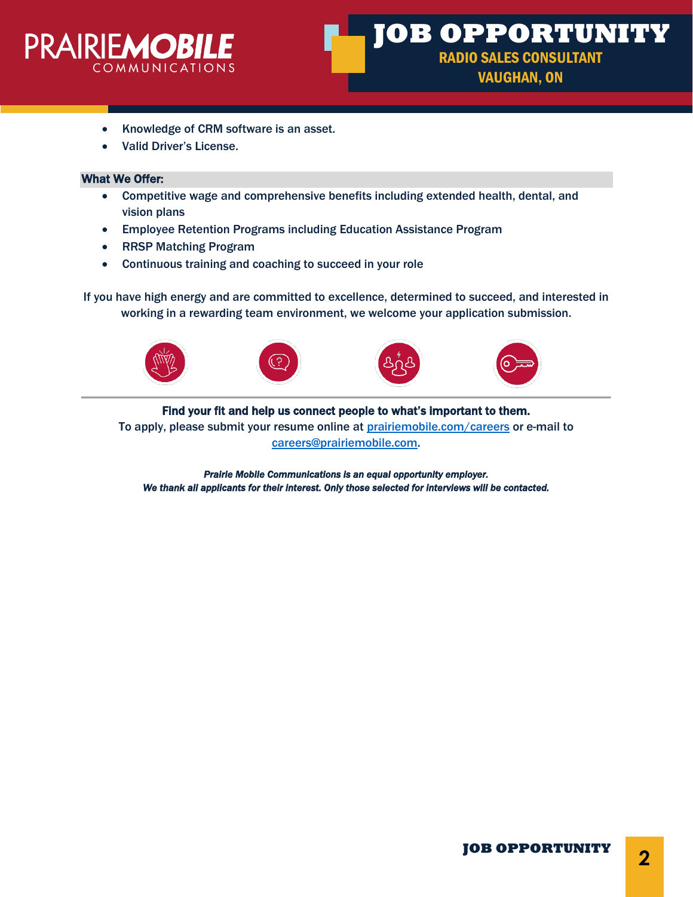

- Knowledge of CRM software is an asset.
- Valid Driver's License.

## What We Offer:

- Competitive wage and comprehensive benefits including extended health, dental, and vision plans
- Employee Retention Programs including Education Assistance Program
- RRSP Matching Program
- Continuous training and coaching to succeed in your role

If you have high energy and are committed to excellence, determined to succeed, and interested in working in a rewarding team environment, we welcome your application submission.



Find your fit and help us connect people to what's important to them. To apply, please submit your resume online at [prairiemobile.com/careers](mailto:prairiemobile.com/careers) or e-mail to [careers@prairiemobile.com.](mailto:careers@prairiemobile.com)

*Prairie Mobile Communications is an equal opportunity employer. We thank all applicants for their interest. Only those selected for interviews will be contacted.*